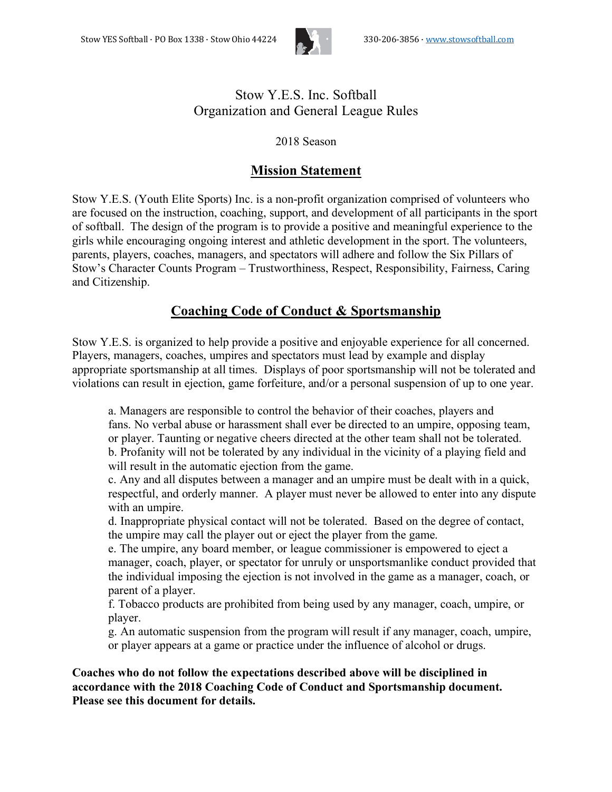

## Stow Y.E.S. Inc. Softball Organization and General League Rules

### 2018 Season

## **Mission Statement**

Stow Y.E.S. (Youth Elite Sports) Inc. is a non-profit organization comprised of volunteers who are focused on the instruction, coaching, support, and development of all participants in the sport of softball. The design of the program is to provide a positive and meaningful experience to the girls while encouraging ongoing interest and athletic development in the sport. The volunteers, parents, players, coaches, managers, and spectators will adhere and follow the Six Pillars of Stow's Character Counts Program – Trustworthiness, Respect, Responsibility, Fairness, Caring and Citizenship.

## **Coaching Code of Conduct & Sportsmanship**

Stow Y.E.S. is organized to help provide a positive and enjoyable experience for all concerned. Players, managers, coaches, umpires and spectators must lead by example and display appropriate sportsmanship at all times. Displays of poor sportsmanship will not be tolerated and violations can result in ejection, game forfeiture, and/or a personal suspension of up to one year.

a. Managers are responsible to control the behavior of their coaches, players and fans. No verbal abuse or harassment shall ever be directed to an umpire, opposing team, or player. Taunting or negative cheers directed at the other team shall not be tolerated. b. Profanity will not be tolerated by any individual in the vicinity of a playing field and will result in the automatic ejection from the game.

c. Any and all disputes between a manager and an umpire must be dealt with in a quick, respectful, and orderly manner. A player must never be allowed to enter into any dispute with an umpire.

d. Inappropriate physical contact will not be tolerated. Based on the degree of contact, the umpire may call the player out or eject the player from the game.

e. The umpire, any board member, or league commissioner is empowered to eject a manager, coach, player, or spectator for unruly or unsportsmanlike conduct provided that the individual imposing the ejection is not involved in the game as a manager, coach, or parent of a player.

f. Tobacco products are prohibited from being used by any manager, coach, umpire, or player.

g. An automatic suspension from the program will result if any manager, coach, umpire, or player appears at a game or practice under the influence of alcohol or drugs.

**Coaches who do not follow the expectations described above will be disciplined in accordance with the 2018 Coaching Code of Conduct and Sportsmanship document. Please see this document for details.**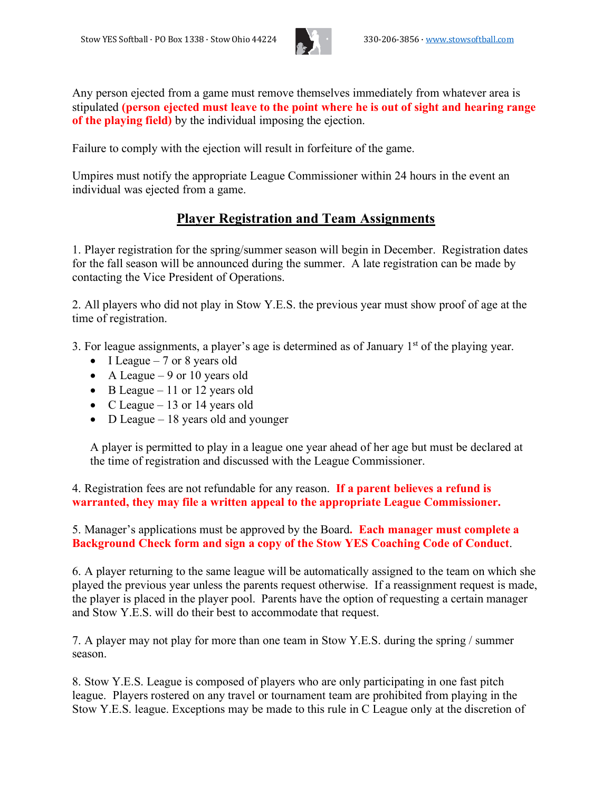

Any person ejected from a game must remove themselves immediately from whatever area is stipulated **(person ejected must leave to the point where he is out of sight and hearing range of the playing field)** by the individual imposing the ejection.

Failure to comply with the ejection will result in forfeiture of the game.

Umpires must notify the appropriate League Commissioner within 24 hours in the event an individual was ejected from a game.

## **Player Registration and Team Assignments**

1. Player registration for the spring/summer season will begin in December. Registration dates for the fall season will be announced during the summer. A late registration can be made by contacting the Vice President of Operations.

2. All players who did not play in Stow Y.E.S. the previous year must show proof of age at the time of registration.

3. For league assignments, a player's age is determined as of January 1st of the playing year.

- I League  $-7$  or 8 years old
- A League  $-9$  or 10 years old
- B League 11 or 12 years old
- C League 13 or 14 years old
- D League 18 years old and younger

A player is permitted to play in a league one year ahead of her age but must be declared at the time of registration and discussed with the League Commissioner.

4. Registration fees are not refundable for any reason. **If a parent believes a refund is warranted, they may file a written appeal to the appropriate League Commissioner.**

5. Manager's applications must be approved by the Board**. Each manager must complete a Background Check form and sign a copy of the Stow YES Coaching Code of Conduct**.

6. A player returning to the same league will be automatically assigned to the team on which she played the previous year unless the parents request otherwise. If a reassignment request is made, the player is placed in the player pool. Parents have the option of requesting a certain manager and Stow Y.E.S. will do their best to accommodate that request.

7. A player may not play for more than one team in Stow Y.E.S. during the spring / summer season.

8. Stow Y.E.S. League is composed of players who are only participating in one fast pitch league. Players rostered on any travel or tournament team are prohibited from playing in the Stow Y.E.S. league. Exceptions may be made to this rule in C League only at the discretion of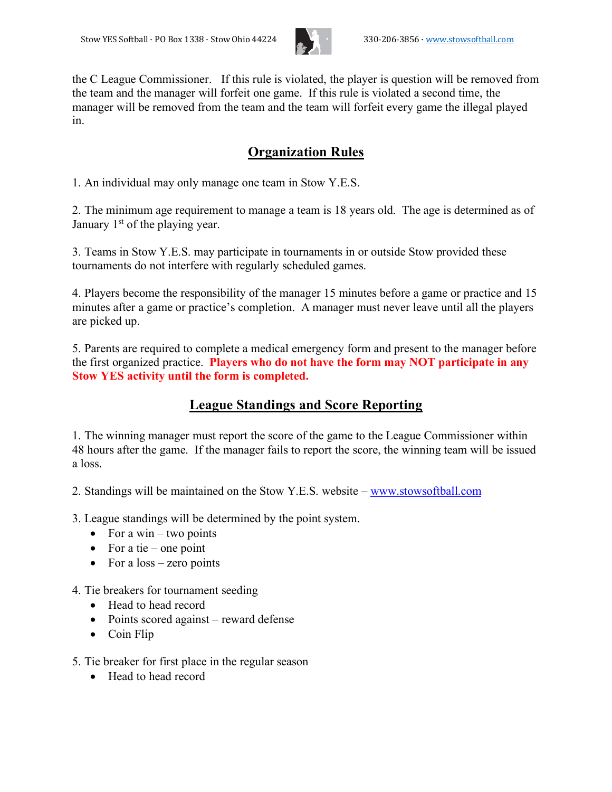

the C League Commissioner. If this rule is violated, the player is question will be removed from the team and the manager will forfeit one game. If this rule is violated a second time, the manager will be removed from the team and the team will forfeit every game the illegal played in.

# **Organization Rules**

1. An individual may only manage one team in Stow Y.E.S.

2. The minimum age requirement to manage a team is 18 years old. The age is determined as of January 1<sup>st</sup> of the playing year.

3. Teams in Stow Y.E.S. may participate in tournaments in or outside Stow provided these tournaments do not interfere with regularly scheduled games.

4. Players become the responsibility of the manager 15 minutes before a game or practice and 15 minutes after a game or practice's completion. A manager must never leave until all the players are picked up.

5. Parents are required to complete a medical emergency form and present to the manager before the first organized practice. **Players who do not have the form may NOT participate in any Stow YES activity until the form is completed.**

## **League Standings and Score Reporting**

1. The winning manager must report the score of the game to the League Commissioner within 48 hours after the game. If the manager fails to report the score, the winning team will be issued a loss.

2. Standings will be maintained on the Stow Y.E.S. website – www.stowsoftball.com

3. League standings will be determined by the point system.

- For a win two points
- For a tie one point
- For a loss zero points

4. Tie breakers for tournament seeding

- Head to head record
- Points scored against reward defense
- Coin Flip

5. Tie breaker for first place in the regular season

• Head to head record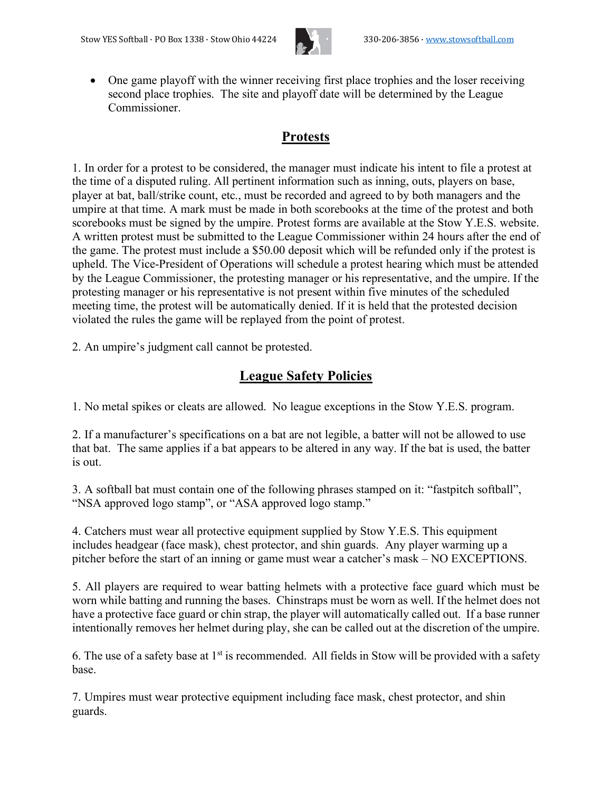

• One game playoff with the winner receiving first place trophies and the loser receiving second place trophies. The site and playoff date will be determined by the League **Commissioner** 

# **Protests**

1. In order for a protest to be considered, the manager must indicate his intent to file a protest at the time of a disputed ruling. All pertinent information such as inning, outs, players on base, player at bat, ball/strike count, etc., must be recorded and agreed to by both managers and the umpire at that time. A mark must be made in both scorebooks at the time of the protest and both scorebooks must be signed by the umpire. Protest forms are available at the Stow Y.E.S. website. A written protest must be submitted to the League Commissioner within 24 hours after the end of the game. The protest must include a \$50.00 deposit which will be refunded only if the protest is upheld. The Vice-President of Operations will schedule a protest hearing which must be attended by the League Commissioner, the protesting manager or his representative, and the umpire. If the protesting manager or his representative is not present within five minutes of the scheduled meeting time, the protest will be automatically denied. If it is held that the protested decision violated the rules the game will be replayed from the point of protest.

2. An umpire's judgment call cannot be protested.

# **League Safety Policies**

1. No metal spikes or cleats are allowed. No league exceptions in the Stow Y.E.S. program.

2. If a manufacturer's specifications on a bat are not legible, a batter will not be allowed to use that bat. The same applies if a bat appears to be altered in any way. If the bat is used, the batter is out.

3. A softball bat must contain one of the following phrases stamped on it: "fastpitch softball", "NSA approved logo stamp", or "ASA approved logo stamp."

4. Catchers must wear all protective equipment supplied by Stow Y.E.S. This equipment includes headgear (face mask), chest protector, and shin guards. Any player warming up a pitcher before the start of an inning or game must wear a catcher's mask – NO EXCEPTIONS.

5. All players are required to wear batting helmets with a protective face guard which must be worn while batting and running the bases. Chinstraps must be worn as well. If the helmet does not have a protective face guard or chin strap, the player will automatically called out. If a base runner intentionally removes her helmet during play, she can be called out at the discretion of the umpire.

6. The use of a safety base at  $1<sup>st</sup>$  is recommended. All fields in Stow will be provided with a safety base.

7. Umpires must wear protective equipment including face mask, chest protector, and shin guards.